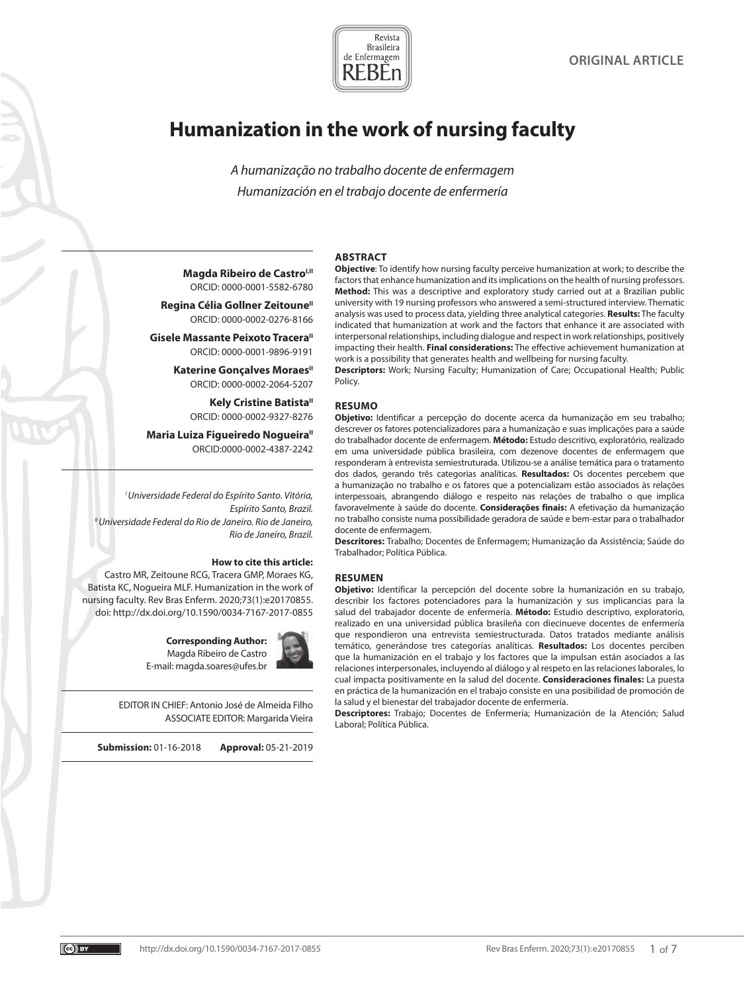

# **Humanization in the work of nursing faculty**

*A humanização no trabalho docente de enfermagem Humanización en el trabajo docente de enfermería*

#### **ABSTRACT**

**Magda Ribeiro de Castro<sup>I,II</sup>** ORCID: 0000-0001-5582-6780

**Regina Célia Gollner Zeitoune**<sup>II</sup> ORCID: 0000-0002-0276-8166

**Gisele Massante Peixoto Tracera"** ORCID: 0000-0001-9896-9191

> **Katerine Goncalves Moraes**<sup>"</sup> ORCID: 0000-0002-2064-5207

> > **Kely Cristine Batista**" ORCID: 0000-0002-9327-8276

**Maria Luiza Figueiredo Nogueira**" ORCID:0000-0002-4387-2242

*I Universidade Federal do Espírito Santo. Vitória, Espírito Santo, Brazil. II Universidade Federal do Rio de Janeiro. Rio de Janeiro, Rio de Janeiro, Brazil.*

## **How to cite this article:**

Castro MR, Zeitoune RCG, Tracera GMP, Moraes KG, Batista KC, Nogueira MLF. Humanization in the work of nursing faculty. Rev Bras Enferm. 2020;73(1):e20170855. doi: http://dx.doi.org/10.1590/0034-7167-2017-0855

> **Corresponding Author:** Magda Ribeiro de Castro E-mail: magda.soares@ufes.br



EDITOR IN CHIEF: Antonio José de Almeida Filho ASSOCIATE EDITOR: Margarida Vieira

**Submission:** 01-16-2018 **Approval:** 05-21-2019

**Objective**: To identify how nursing faculty perceive humanization at work; to describe the factors that enhance humanization and its implications on the health of nursing professors. **Method:** This was a descriptive and exploratory study carried out at a Brazilian public university with 19 nursing professors who answered a semi-structured interview. Thematic analysis was used to process data, yielding three analytical categories. **Results:** The faculty indicated that humanization at work and the factors that enhance it are associated with interpersonal relationships, including dialogue and respect in work relationships, positively impacting their health. **Final considerations:** The effective achievement humanization at work is a possibility that generates health and wellbeing for nursing faculty.

**Descriptors:** Work; Nursing Faculty; Humanization of Care; Occupational Health; Public Policy.

#### **RESUMO**

**Objetivo:** Identificar a percepção do docente acerca da humanização em seu trabalho; descrever os fatores potencializadores para a humanização e suas implicações para a saúde do trabalhador docente de enfermagem. **Método:** Estudo descritivo, exploratório, realizado em uma universidade pública brasileira, com dezenove docentes de enfermagem que responderam à entrevista semiestruturada. Utilizou-se a análise temática para o tratamento dos dados, gerando três categorias analíticas. **Resultados:** Os docentes percebem que a humanização no trabalho e os fatores que a potencializam estão associados às relações interpessoais, abrangendo diálogo e respeito nas relações de trabalho o que implica favoravelmente à saúde do docente. **Considerações finais:** A efetivação da humanização no trabalho consiste numa possibilidade geradora de saúde e bem-estar para o trabalhador docente de enfermagem.

**Descritores:** Trabalho; Docentes de Enfermagem; Humanização da Assistência; Saúde do Trabalhador; Política Pública.

#### **RESUMEN**

**Objetivo:** Identificar la percepción del docente sobre la humanización en su trabajo, describir los factores potenciadores para la humanización y sus implicancias para la salud del trabajador docente de enfermería. **Método:** Estudio descriptivo, exploratorio, realizado en una universidad pública brasileña con diecinueve docentes de enfermería que respondieron una entrevista semiestructurada. Datos tratados mediante análisis temático, generándose tres categorías analíticas. **Resultados:** Los docentes perciben que la humanización en el trabajo y los factores que la impulsan están asociados a las relaciones interpersonales, incluyendo al diálogo y al respeto en las relaciones laborales, lo cual impacta positivamente en la salud del docente. **Consideraciones finales:** La puesta en práctica de la humanización en el trabajo consiste en una posibilidad de promoción de la salud y el bienestar del trabajador docente de enfermería.

**Descriptores:** Trabajo; Docentes de Enfermería; Humanización de la Atención; Salud Laboral; Política Pública.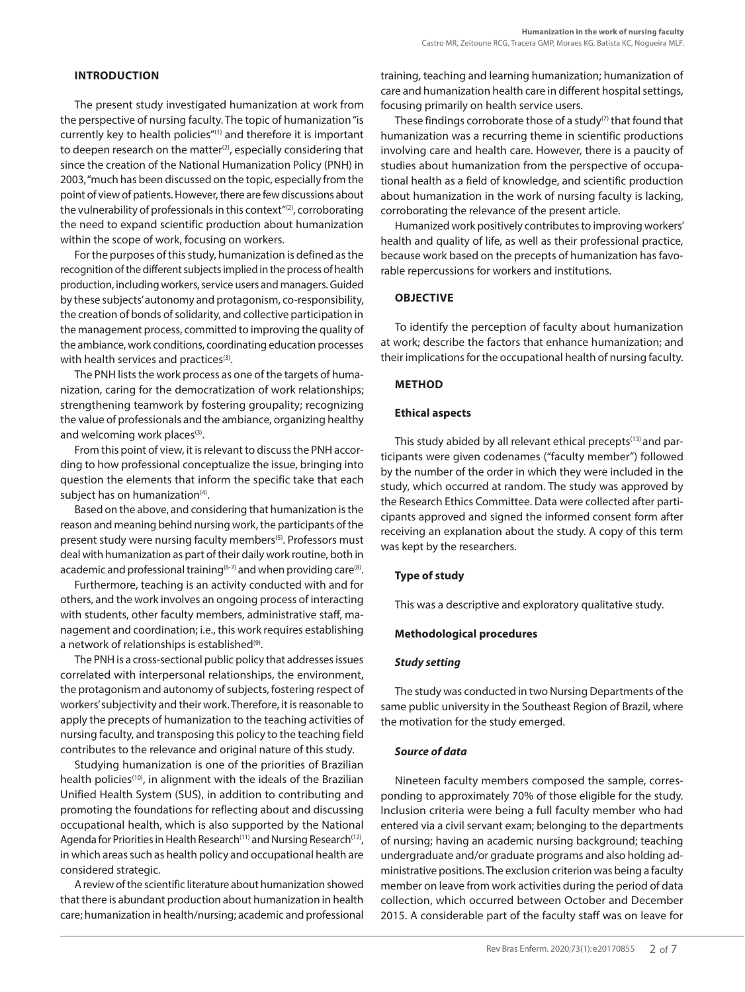# **INTRODUCTION**

The present study investigated humanization at work from the perspective of nursing faculty. The topic of humanization "is currently key to health policies"(1) and therefore it is important to deepen research on the matter<sup>(2)</sup>, especially considering that since the creation of the National Humanization Policy (PNH) in 2003, "much has been discussed on the topic, especially from the point of view of patients. However, there are few discussions about the vulnerability of professionals in this context"<sup>(2)</sup>, corroborating the need to expand scientific production about humanization within the scope of work, focusing on workers.

For the purposes of this study, humanization is defined as the recognition of the different subjects implied in the process of health production, including workers, service users and managers. Guided by these subjects' autonomy and protagonism, co-responsibility, the creation of bonds of solidarity, and collective participation in the management process, committed to improving the quality of the ambiance, work conditions, coordinating education processes with health services and practices<sup>(3)</sup>.

The PNH lists the work process as one of the targets of humanization, caring for the democratization of work relationships; strengthening teamwork by fostering groupality; recognizing the value of professionals and the ambiance, organizing healthy and welcoming work places<sup>(3)</sup>.

From this point of view, it is relevant to discuss the PNH according to how professional conceptualize the issue, bringing into question the elements that inform the specific take that each subject has on humanization<sup>(4)</sup>.

Based on the above, and considering that humanization is the reason and meaning behind nursing work, the participants of the present study were nursing faculty members<sup>(5)</sup>. Professors must deal with humanization as part of their daily work routine, both in academic and professional training<sup> $(6-7)$ </sup> and when providing care $(8)$ .

Furthermore, teaching is an activity conducted with and for others, and the work involves an ongoing process of interacting with students, other faculty members, administrative staff, management and coordination; i.e., this work requires establishing a network of relationships is established<sup>(9)</sup>.

The PNH is a cross-sectional public policy that addresses issues correlated with interpersonal relationships, the environment, the protagonism and autonomy of subjects, fostering respect of workers' subjectivity and their work. Therefore, it is reasonable to apply the precepts of humanization to the teaching activities of nursing faculty, and transposing this policy to the teaching field contributes to the relevance and original nature of this study.

Studying humanization is one of the priorities of Brazilian health policies<sup>(10)</sup>, in alignment with the ideals of the Brazilian Unified Health System (SUS), in addition to contributing and promoting the foundations for reflecting about and discussing occupational health, which is also supported by the National Agenda for Priorities in Health Research<sup>(11)</sup> and Nursing Research<sup>(12)</sup>, in which areas such as health policy and occupational health are considered strategic.

A review of the scientific literature about humanization showed that there is abundant production about humanization in health care; humanization in health/nursing; academic and professional training, teaching and learning humanization; humanization of care and humanization health care in different hospital settings, focusing primarily on health service users.

These findings corroborate those of a study $(7)$  that found that humanization was a recurring theme in scientific productions involving care and health care. However, there is a paucity of studies about humanization from the perspective of occupational health as a field of knowledge, and scientific production about humanization in the work of nursing faculty is lacking, corroborating the relevance of the present article.

Humanized work positively contributes to improving workers' health and quality of life, as well as their professional practice, because work based on the precepts of humanization has favorable repercussions for workers and institutions.

# **OBJECTIVE**

To identify the perception of faculty about humanization at work; describe the factors that enhance humanization; and their implications for the occupational health of nursing faculty.

# **METHOD**

## **Ethical aspects**

This study abided by all relevant ethical precepts<sup>(13)</sup> and participants were given codenames ("faculty member") followed by the number of the order in which they were included in the study, which occurred at random. The study was approved by the Research Ethics Committee. Data were collected after participants approved and signed the informed consent form after receiving an explanation about the study. A copy of this term was kept by the researchers.

# **Type of study**

This was a descriptive and exploratory qualitative study.

## **Methodological procedures**

## *Study setting*

The study was conducted in two Nursing Departments of the same public university in the Southeast Region of Brazil, where the motivation for the study emerged.

## *Source of data*

Nineteen faculty members composed the sample, corresponding to approximately 70% of those eligible for the study. Inclusion criteria were being a full faculty member who had entered via a civil servant exam; belonging to the departments of nursing; having an academic nursing background; teaching undergraduate and/or graduate programs and also holding administrative positions. The exclusion criterion was being a faculty member on leave from work activities during the period of data collection, which occurred between October and December 2015. A considerable part of the faculty staff was on leave for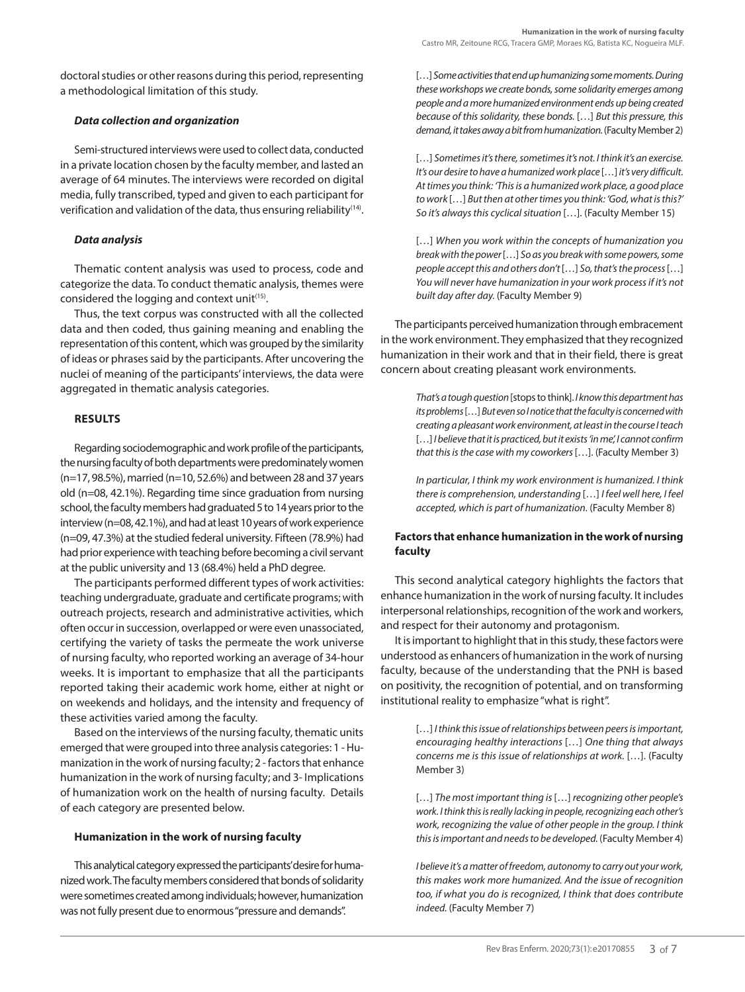doctoral studies or other reasons during this period, representing a methodological limitation of this study.

# *Data collection and organization*

Semi-structured interviews were used to collect data, conducted in a private location chosen by the faculty member, and lasted an average of 64 minutes. The interviews were recorded on digital media, fully transcribed, typed and given to each participant for verification and validation of the data, thus ensuring reliability<sup>(14)</sup>.

# *Data analysis*

Thematic content analysis was used to process, code and categorize the data. To conduct thematic analysis, themes were considered the logging and context unit<sup>(15)</sup>.

Thus, the text corpus was constructed with all the collected data and then coded, thus gaining meaning and enabling the representation of this content, which was grouped by the similarity of ideas or phrases said by the participants. After uncovering the nuclei of meaning of the participants' interviews, the data were aggregated in thematic analysis categories.

# **RESULTS**

Regarding sociodemographic and work profile of the participants, the nursing faculty of both departments were predominately women (n=17, 98.5%), married (n=10, 52.6%) and between 28 and 37 years old (n=08, 42.1%). Regarding time since graduation from nursing school, the faculty members had graduated 5 to 14 years prior to the interview (n=08, 42.1%), and had at least 10 years of work experience (n=09, 47.3%) at the studied federal university. Fifteen (78.9%) had had prior experience with teaching before becoming a civil servant at the public university and 13 (68.4%) held a PhD degree.

The participants performed different types of work activities: teaching undergraduate, graduate and certificate programs; with outreach projects, research and administrative activities, which often occur in succession, overlapped or were even unassociated, certifying the variety of tasks the permeate the work universe of nursing faculty, who reported working an average of 34-hour weeks. It is important to emphasize that all the participants reported taking their academic work home, either at night or on weekends and holidays, and the intensity and frequency of these activities varied among the faculty.

Based on the interviews of the nursing faculty, thematic units emerged that were grouped into three analysis categories: 1 - Humanization in the work of nursing faculty; 2 - factors that enhance humanization in the work of nursing faculty; and 3- Implications of humanization work on the health of nursing faculty. Details of each category are presented below.

## **Humanization in the work of nursing faculty**

This analytical category expressed the participants' desire for humanized work. The faculty members considered that bonds of solidarity were sometimes created among individuals; however, humanization was not fully present due to enormous "pressure and demands".

[…] *Some activities that end up humanizing some moments. During these workshops we create bonds, some solidarity emerges among people and a more humanized environment ends up being created because of this solidarity, these bonds.* […] *But this pressure, this demand, it takes away a bit from humanization.* (Faculty Member 2)

[...] Sometimes it's there, sometimes it's not. I think it's an exercise. *It's our desire to have a humanized work place* […] *it's very difficult. At times you think: 'This is a humanized work place, a good place to work* […] *But then at other times you think: 'God, what is this?' So it's always this cyclical situation* […]. (Faculty Member 15)

[…] *When you work within the concepts of humanization you break with the power* […] *So as you break with some powers, some people accept this and others don't* […] *So, that's the process* […] *You will never have humanization in your work process if it's not built day after day.* (Faculty Member 9)

The participants perceived humanization through embracement in the work environment. They emphasized that they recognized humanization in their work and that in their field, there is great concern about creating pleasant work environments.

> *That's a tough question* [stops to think]. *I know this department has its problems* […] *But even so I notice that the faculty is concerned with creating a pleasant work environment, at least in the course I teach*  […] *I believe that it is practiced, but it exists 'in me', I cannot confirm that this is the case with my coworkers* […]. (Faculty Member 3)

> *In particular, I think my work environment is humanized. I think there is comprehension, understanding* […] *I feel well here, I feel accepted, which is part of humanization.* (Faculty Member 8)

# **Factors that enhance humanization in the work of nursing faculty**

This second analytical category highlights the factors that enhance humanization in the work of nursing faculty. It includes interpersonal relationships, recognition of the work and workers, and respect for their autonomy and protagonism.

It is important to highlight that in this study, these factors were understood as enhancers of humanization in the work of nursing faculty, because of the understanding that the PNH is based on positivity, the recognition of potential, and on transforming institutional reality to emphasize "what is right".

> […] *I think this issue of relationships between peers is important, encouraging healthy interactions* […] *One thing that always concerns me is this issue of relationships at work.* […]. (Faculty Member 3)

> […] *The most important thing is* […] *recognizing other people's work. I think this is really lacking in people, recognizing each other's work, recognizing the value of other people in the group. I think this is important and needs to be developed.* (Faculty Member 4)

> *I believe it's a matter of freedom, autonomy to carry out your work, this makes work more humanized. And the issue of recognition too, if what you do is recognized, I think that does contribute indeed.* (Faculty Member 7)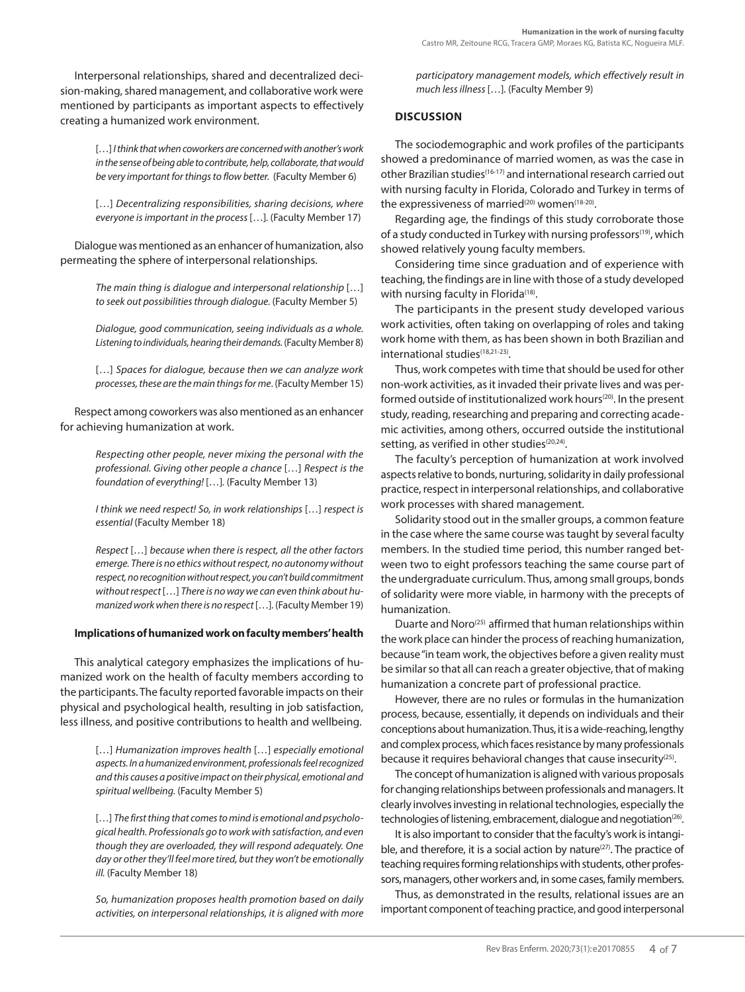Interpersonal relationships, shared and decentralized decision-making, shared management, and collaborative work were mentioned by participants as important aspects to effectively creating a humanized work environment.

> [...] *I think that when coworkers are concerned with another's work in the sense of being able to contribute, help, collaborate, that would be very important for things to flow better.* (Faculty Member 6)

> [...] *Decentralizing responsibilities, sharing decisions, where everyone is important in the process* […]*.* (Faculty Member 17)

Dialogue was mentioned as an enhancer of humanization, also permeating the sphere of interpersonal relationships.

> *The main thing is dialogue and interpersonal relationship* […] *to seek out possibilities through dialogue.* (Faculty Member 5)

> *Dialogue, good communication, seeing individuals as a whole. Listening to individuals, hearing their demands.* (Faculty Member 8)

> […] *Spaces for dialogue, because then we can analyze work processes, these are the main things for me*. (Faculty Member 15)

Respect among coworkers was also mentioned as an enhancer for achieving humanization at work.

> *Respecting other people, never mixing the personal with the professional. Giving other people a chance* […] *Respect is the foundation of everything!* […]*.* (Faculty Member 13)

> *I think we need respect! So, in work relationships* […] *respect is essential* (Faculty Member 18)

> *Respect* […] *because when there is respect, all the other factors emerge. There is no ethics without respect, no autonomy without respect, no recognition without respect, you can't build commitment without respect* […] *There is no way we can even think about humanized work when there is no respect* […]*.* (Faculty Member 19)

## **Implications of humanized work on faculty members' health**

This analytical category emphasizes the implications of humanized work on the health of faculty members according to the participants. The faculty reported favorable impacts on their physical and psychological health, resulting in job satisfaction, less illness, and positive contributions to health and wellbeing.

> […] *Humanization improves health* […] *especially emotional aspects. In a humanized environment, professionals feel recognized and this causes a positive impact on their physical, emotional and spiritual wellbeing.* (Faculty Member 5)

> […] *The first thing that comes to mind is emotional and psychological health. Professionals go to work with satisfaction, and even though they are overloaded, they will respond adequately. One day or other they'll feel more tired, but they won't be emotionally ill.* (Faculty Member 18)

> *So, humanization proposes health promotion based on daily activities, on interpersonal relationships, it is aligned with more*

*participatory management models, which effectively result in much less illness* […]*.* (Faculty Member 9)

# **DISCUSSION**

The sociodemographic and work profiles of the participants showed a predominance of married women, as was the case in other Brazilian studies(16-17) and international research carried out with nursing faculty in Florida, Colorado and Turkey in terms of the expressiveness of married<sup>(20)</sup> women<sup>(18-20)</sup>.

Regarding age, the findings of this study corroborate those of a study conducted in Turkey with nursing professors<sup> $(19)$ </sup>, which showed relatively young faculty members.

Considering time since graduation and of experience with teaching, the findings are in line with those of a study developed with nursing faculty in Florida<sup>(18)</sup>.

The participants in the present study developed various work activities, often taking on overlapping of roles and taking work home with them, as has been shown in both Brazilian and international studies<sup>(18,21-23)</sup>.

Thus, work competes with time that should be used for other non-work activities, as it invaded their private lives and was performed outside of institutionalized work hours<sup>(20)</sup>. In the present study, reading, researching and preparing and correcting academic activities, among others, occurred outside the institutional setting, as verified in other studies<sup>(20,24)</sup>.

The faculty's perception of humanization at work involved aspects relative to bonds, nurturing, solidarity in daily professional practice, respect in interpersonal relationships, and collaborative work processes with shared management.

Solidarity stood out in the smaller groups, a common feature in the case where the same course was taught by several faculty members. In the studied time period, this number ranged between two to eight professors teaching the same course part of the undergraduate curriculum. Thus, among small groups, bonds of solidarity were more viable, in harmony with the precepts of humanization.

Duarte and Noro<sup>(25)</sup> affirmed that human relationships within the work place can hinder the process of reaching humanization, because "in team work, the objectives before a given reality must be similar so that all can reach a greater objective, that of making humanization a concrete part of professional practice.

However, there are no rules or formulas in the humanization process, because, essentially, it depends on individuals and their conceptions about humanization. Thus, it is a wide-reaching, lengthy and complex process, which faces resistance by many professionals because it requires behavioral changes that cause insecurity<sup>(25)</sup>.

The concept of humanization is aligned with various proposals for changing relationships between professionals and managers. It clearly involves investing in relational technologies, especially the technologies of listening, embracement, dialogue and negotiation<sup>(26)</sup>.

It is also important to consider that the faculty's work is intangible, and therefore, it is a social action by nature $(27)$ . The practice of teaching requires forming relationships with students, other professors, managers, other workers and, in some cases, family members.

Thus, as demonstrated in the results, relational issues are an important component of teaching practice, and good interpersonal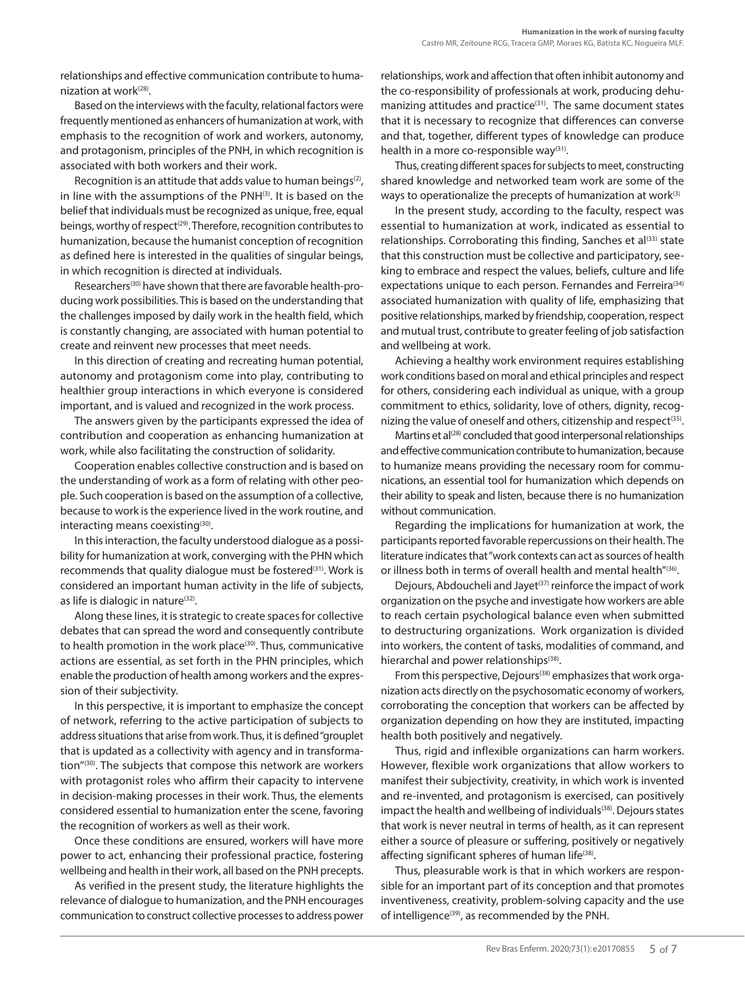relationships and effective communication contribute to humanization at work<sup>(28)</sup>.

Based on the interviews with the faculty, relational factors were frequently mentioned as enhancers of humanization at work, with emphasis to the recognition of work and workers, autonomy, and protagonism, principles of the PNH, in which recognition is associated with both workers and their work.

Recognition is an attitude that adds value to human beings<sup>(2)</sup>, in line with the assumptions of the PNH(3). It is based on the belief that individuals must be recognized as unique, free, equal beings, worthy of respect<sup>(29)</sup>. Therefore, recognition contributes to humanization, because the humanist conception of recognition as defined here is interested in the qualities of singular beings, in which recognition is directed at individuals.

Researchers(30) have shown that there are favorable health-producing work possibilities. This is based on the understanding that the challenges imposed by daily work in the health field, which is constantly changing, are associated with human potential to create and reinvent new processes that meet needs.

In this direction of creating and recreating human potential, autonomy and protagonism come into play, contributing to healthier group interactions in which everyone is considered important, and is valued and recognized in the work process.

The answers given by the participants expressed the idea of contribution and cooperation as enhancing humanization at work, while also facilitating the construction of solidarity.

Cooperation enables collective construction and is based on the understanding of work as a form of relating with other people. Such cooperation is based on the assumption of a collective, because to work is the experience lived in the work routine, and interacting means coexisting $(30)$ .

In this interaction, the faculty understood dialogue as a possibility for humanization at work, converging with the PHN which recommends that quality dialogue must be fostered<sup>(31)</sup>. Work is considered an important human activity in the life of subjects, as life is dialogic in nature<sup>(32)</sup>.

Along these lines, it is strategic to create spaces for collective debates that can spread the word and consequently contribute to health promotion in the work place<sup>(30)</sup>. Thus, communicative actions are essential, as set forth in the PHN principles, which enable the production of health among workers and the expression of their subjectivity.

In this perspective, it is important to emphasize the concept of network, referring to the active participation of subjects to address situations that arise from work. Thus, it is defined "grouplet that is updated as a collectivity with agency and in transformation"(30). The subjects that compose this network are workers with protagonist roles who affirm their capacity to intervene in decision-making processes in their work. Thus, the elements considered essential to humanization enter the scene, favoring the recognition of workers as well as their work.

Once these conditions are ensured, workers will have more power to act, enhancing their professional practice, fostering wellbeing and health in their work, all based on the PNH precepts.

As verified in the present study, the literature highlights the relevance of dialogue to humanization, and the PNH encourages communication to construct collective processes to address power relationships, work and affection that often inhibit autonomy and the co-responsibility of professionals at work, producing dehumanizing attitudes and practice<sup>(31)</sup>. The same document states that it is necessary to recognize that differences can converse and that, together, different types of knowledge can produce health in a more co-responsible way<sup>(31)</sup>.

Thus, creating different spaces for subjects to meet, constructing shared knowledge and networked team work are some of the ways to operationalize the precepts of humanization at work<sup>(3)</sup>

In the present study, according to the faculty, respect was essential to humanization at work, indicated as essential to relationships. Corroborating this finding, Sanches et al<sup>(33)</sup> state that this construction must be collective and participatory, seeking to embrace and respect the values, beliefs, culture and life expectations unique to each person. Fernandes and Ferreira<sup>(34)</sup> associated humanization with quality of life, emphasizing that positive relationships, marked by friendship, cooperation, respect and mutual trust, contribute to greater feeling of job satisfaction and wellbeing at work.

Achieving a healthy work environment requires establishing work conditions based on moral and ethical principles and respect for others, considering each individual as unique, with a group commitment to ethics, solidarity, love of others, dignity, recognizing the value of oneself and others, citizenship and respect<sup>(35)</sup>.

Martins et al<sup>(28)</sup> concluded that good interpersonal relationships and effective communication contribute to humanization, because to humanize means providing the necessary room for communications, an essential tool for humanization which depends on their ability to speak and listen, because there is no humanization without communication.

Regarding the implications for humanization at work, the participants reported favorable repercussions on their health. The literature indicates that "work contexts can act as sources of health or illness both in terms of overall health and mental health"(36).

Dejours, Abdoucheli and Jayet<sup>(37)</sup> reinforce the impact of work organization on the psyche and investigate how workers are able to reach certain psychological balance even when submitted to destructuring organizations. Work organization is divided into workers, the content of tasks, modalities of command, and hierarchal and power relationships<sup>(38)</sup>.

From this perspective, Dejours<sup>(38)</sup> emphasizes that work organization acts directly on the psychosomatic economy of workers, corroborating the conception that workers can be affected by organization depending on how they are instituted, impacting health both positively and negatively.

Thus, rigid and inflexible organizations can harm workers. However, flexible work organizations that allow workers to manifest their subjectivity, creativity, in which work is invented and re-invented, and protagonism is exercised, can positively impact the health and wellbeing of individuals<sup>(38)</sup>. Dejours states that work is never neutral in terms of health, as it can represent either a source of pleasure or suffering, positively or negatively affecting significant spheres of human life<sup>(38)</sup>.

Thus, pleasurable work is that in which workers are responsible for an important part of its conception and that promotes inventiveness, creativity, problem-solving capacity and the use of intelligence<sup>(39)</sup>, as recommended by the PNH.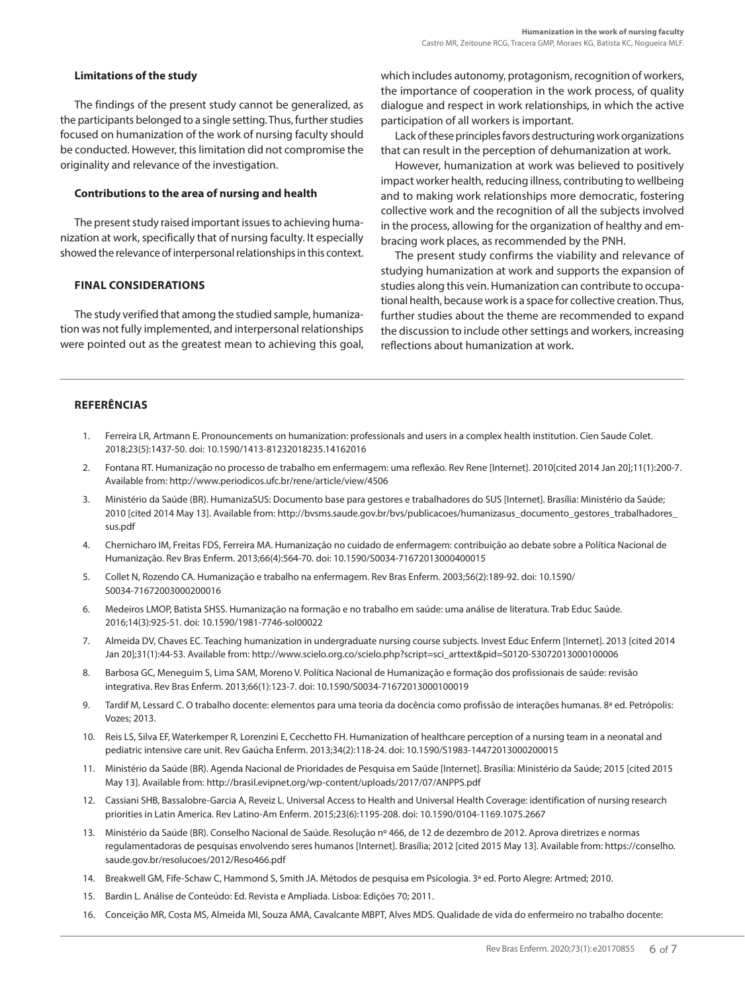## **Limitations of the study**

The findings of the present study cannot be generalized, as the participants belonged to a single setting. Thus, further studies focused on humanization of the work of nursing faculty should be conducted. However, this limitation did not compromise the originality and relevance of the investigation.

#### **Contributions to the area of nursing and health**

The present study raised important issues to achieving humanization at work, specifically that of nursing faculty. It especially showed the relevance of interpersonal relationships in this context.

## **FINAL CONSIDERATIONS**

The study verified that among the studied sample, humanization was not fully implemented, and interpersonal relationships were pointed out as the greatest mean to achieving this goal, which includes autonomy, protagonism, recognition of workers, the importance of cooperation in the work process, of quality dialogue and respect in work relationships, in which the active participation of all workers is important.

Lack of these principles favors destructuring work organizations that can result in the perception of dehumanization at work.

However, humanization at work was believed to positively impact worker health, reducing illness, contributing to wellbeing and to making work relationships more democratic, fostering collective work and the recognition of all the subjects involved in the process, allowing for the organization of healthy and embracing work places, as recommended by the PNH.

The present study confirms the viability and relevance of studying humanization at work and supports the expansion of studies along this vein. Humanization can contribute to occupational health, because work is a space for collective creation. Thus, further studies about the theme are recommended to expand the discussion to include other settings and workers, increasing reflections about humanization at work.

# **REFERÊNCIAS**

- 1. Ferreira LR, Artmann E. Pronouncements on humanization: professionals and users in a complex health institution. Cien Saude Colet. 2018;23(5):1437-50. doi: 10.1590/1413-81232018235.14162016
- 2. Fontana RT. Humanização no processo de trabalho em enfermagem: uma reflexão. Rev Rene [Internet]. 2010[cited 2014 Jan 20];11(1):200-7. Available from: http://www.periodicos.ufc.br/rene/article/view/4506
- 3. Ministério da Saúde (BR). HumanizaSUS: Documento base para gestores e trabalhadores do SUS [Internet]. Brasília: Ministério da Saúde; 2010 [cited 2014 May 13]. Available from: http://bvsms.saude.gov.br/bvs/publicacoes/humanizasus\_documento\_gestores\_trabalhadores\_ sus.pdf
- 4. Chernicharo IM, Freitas FDS, Ferreira MA. Humanização no cuidado de enfermagem: contribuição ao debate sobre a Política Nacional de Humanização. Rev Bras Enferm. 2013;66(4):564-70. doi: 10.1590/S0034-71672013000400015
- 5. Collet N, Rozendo CA. Humanização e trabalho na enfermagem. Rev Bras Enferm. 2003;56(2):189-92. doi: 10.1590/ S0034-71672003000200016
- 6. Medeiros LMOP, Batista SHSS. Humanização na formação e no trabalho em saúde: uma análise de literatura. Trab Educ Saúde. 2016;14(3):925-51. doi: 10.1590/1981-7746-sol00022
- 7. Almeida DV, Chaves EC. Teaching humanization in undergraduate nursing course subjects. Invest Educ Enferm [Internet]. 2013 [cited 2014 Jan 20];31(1):44-53. Available from: http://www.scielo.org.co/scielo.php?script=sci\_arttext&pid=S0120-53072013000100006
- 8. Barbosa GC, Meneguim S, Lima SAM, Moreno V. Política Nacional de Humanização e formação dos profissionais de saúde: revisão integrativa. Rev Bras Enferm. 2013;66(1):123-7. doi: 10.1590/S0034-71672013000100019
- 9. Tardif M, Lessard C. O trabalho docente: elementos para uma teoria da docência como profissão de interações humanas. 8ª ed. Petrópolis: Vozes; 2013.
- 10. Reis LS, Silva EF, Waterkemper R, Lorenzini E, Cecchetto FH. Humanization of healthcare perception of a nursing team in a neonatal and pediatric intensive care unit. Rev Gaúcha Enferm. 2013;34(2):118-24. doi: 10.1590/S1983-14472013000200015
- 11. Ministério da Saúde (BR). Agenda Nacional de Prioridades de Pesquisa em Saúde [Internet]. Brasília: Ministério da Saúde; 2015 [cited 2015 May 13]. Available from: http://brasil.evipnet.org/wp-content/uploads/2017/07/ANPPS.pdf
- 12. Cassiani SHB, Bassalobre-Garcia A, Reveiz L. Universal Access to Health and Universal Health Coverage: identification of nursing research priorities in Latin America. Rev Latino-Am Enferm. 2015;23(6):1195-208. doi: 10.1590/0104-1169.1075.2667
- 13. Ministério da Saúde (BR). Conselho Nacional de Saúde. Resolução nº 466, de 12 de dezembro de 2012. Aprova diretrizes e normas regulamentadoras de pesquisas envolvendo seres humanos [Internet]. Brasília; 2012 [cited 2015 May 13]. Available from: https://conselho. saude.gov.br/resolucoes/2012/Reso466.pdf
- 14. Breakwell GM, Fife-Schaw C, Hammond S, Smith JA. Métodos de pesquisa em Psicologia. 3ª ed. Porto Alegre: Artmed; 2010.
- 15. Bardin L. Análise de Conteúdo: Ed. Revista e Ampliada. Lisboa: Edições 70; 2011.
- 16. Conceição MR, Costa MS, Almeida MI, Souza AMA, Cavalcante MBPT, Alves MDS. Qualidade de vida do enfermeiro no trabalho docente: